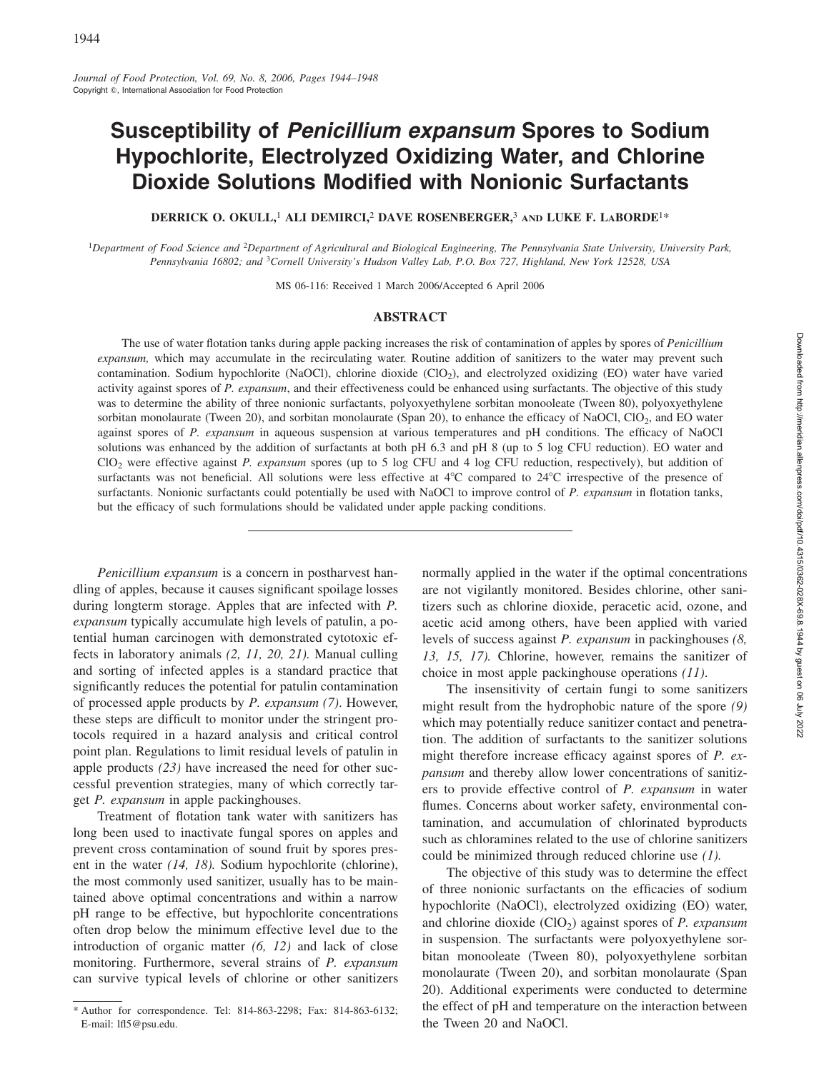# **Susceptibility of** *Penicillium expansum* **Spores to Sodium Hypochlorite, Electrolyzed Oxidizing Water, and Chlorine Dioxide Solutions Modified with Nonionic Surfactants**

**DERRICK O. OKULL,**<sup>1</sup> **ALI DEMIRCI,**<sup>2</sup> **DAVE ROSENBERGER,**<sup>3</sup> **AND LUKE F. LABORDE**1\*

<sup>1</sup>*Department of Food Science and* <sup>2</sup>*Department of Agricultural and Biological Engineering, The Pennsylvania State University, University Park, Pennsylvania 16802; and* <sup>3</sup>*Cornell University's Hudson Valley Lab, P.O. Box 727, Highland, New York 12528, USA*

MS 06-116: Received 1 March 2006/Accepted 6 April 2006

## **ABSTRACT**

The use of water flotation tanks during apple packing increases the risk of contamination of apples by spores of *Penicillium expansum,* which may accumulate in the recirculating water. Routine addition of sanitizers to the water may prevent such contamination. Sodium hypochlorite (NaOCl), chlorine dioxide (ClO<sub>2</sub>), and electrolyzed oxidizing (EO) water have varied activity against spores of *P. expansum*, and their effectiveness could be enhanced using surfactants. The objective of this study was to determine the ability of three nonionic surfactants, polyoxyethylene sorbitan monooleate (Tween 80), polyoxyethylene sorbitan monolaurate (Tween 20), and sorbitan monolaurate (Span 20), to enhance the efficacy of NaOCl, ClO<sub>2</sub>, and EO water against spores of *P. expansum* in aqueous suspension at various temperatures and pH conditions. The efficacy of NaOCl solutions was enhanced by the addition of surfactants at both pH 6.3 and pH 8 (up to 5 log CFU reduction). EO water and ClO2 were effective against *P. expansum* spores (up to 5 log CFU and 4 log CFU reduction, respectively), but addition of surfactants was not beneficial. All solutions were less effective at  $4^{\circ}C$  compared to  $24^{\circ}C$  irrespective of the presence of surfactants. Nonionic surfactants could potentially be used with NaOCl to improve control of *P. expansum* in flotation tanks, but the efficacy of such formulations should be validated under apple packing conditions.

*Penicillium expansum* is a concern in postharvest handling of apples, because it causes significant spoilage losses during longterm storage. Apples that are infected with *P. expansum* typically accumulate high levels of patulin, a potential human carcinogen with demonstrated cytotoxic effects in laboratory animals *(2, 11, 20, 21).* Manual culling and sorting of infected apples is a standard practice that significantly reduces the potential for patulin contamination of processed apple products by *P. expansum (7)*. However, these steps are difficult to monitor under the stringent protocols required in a hazard analysis and critical control point plan. Regulations to limit residual levels of patulin in apple products *(23)* have increased the need for other successful prevention strategies, many of which correctly target *P. expansum* in apple packinghouses.

Treatment of flotation tank water with sanitizers has long been used to inactivate fungal spores on apples and prevent cross contamination of sound fruit by spores present in the water *(14, 18).* Sodium hypochlorite (chlorine), the most commonly used sanitizer, usually has to be maintained above optimal concentrations and within a narrow pH range to be effective, but hypochlorite concentrations often drop below the minimum effective level due to the introduction of organic matter *(6, 12)* and lack of close monitoring. Furthermore, several strains of *P. expansum* can survive typical levels of chlorine or other sanitizers

normally applied in the water if the optimal concentrations are not vigilantly monitored. Besides chlorine, other sanitizers such as chlorine dioxide, peracetic acid, ozone, and acetic acid among others, have been applied with varied levels of success against *P. expansum* in packinghouses *(8, 13, 15, 17).* Chlorine, however, remains the sanitizer of choice in most apple packinghouse operations *(11)*.

The insensitivity of certain fungi to some sanitizers might result from the hydrophobic nature of the spore *(9)* which may potentially reduce sanitizer contact and penetration. The addition of surfactants to the sanitizer solutions might therefore increase efficacy against spores of *P. expansum* and thereby allow lower concentrations of sanitizers to provide effective control of *P. expansum* in water flumes. Concerns about worker safety, environmental contamination, and accumulation of chlorinated byproducts such as chloramines related to the use of chlorine sanitizers could be minimized through reduced chlorine use *(1).*

The objective of this study was to determine the effect of three nonionic surfactants on the efficacies of sodium hypochlorite (NaOCl), electrolyzed oxidizing (EO) water, and chlorine dioxide (ClO<sub>2</sub>) against spores of *P. expansum* in suspension. The surfactants were polyoxyethylene sorbitan monooleate (Tween 80), polyoxyethylene sorbitan monolaurate (Tween 20), and sorbitan monolaurate (Span 20). Additional experiments were conducted to determine the effect of pH and temperature on the interaction between the Tween 20 and NaOCl.

<sup>\*</sup> Author for correspondence. Tel: 814-863-2298; Fax: 814-863-6132; E-mail: lfl5@psu.edu.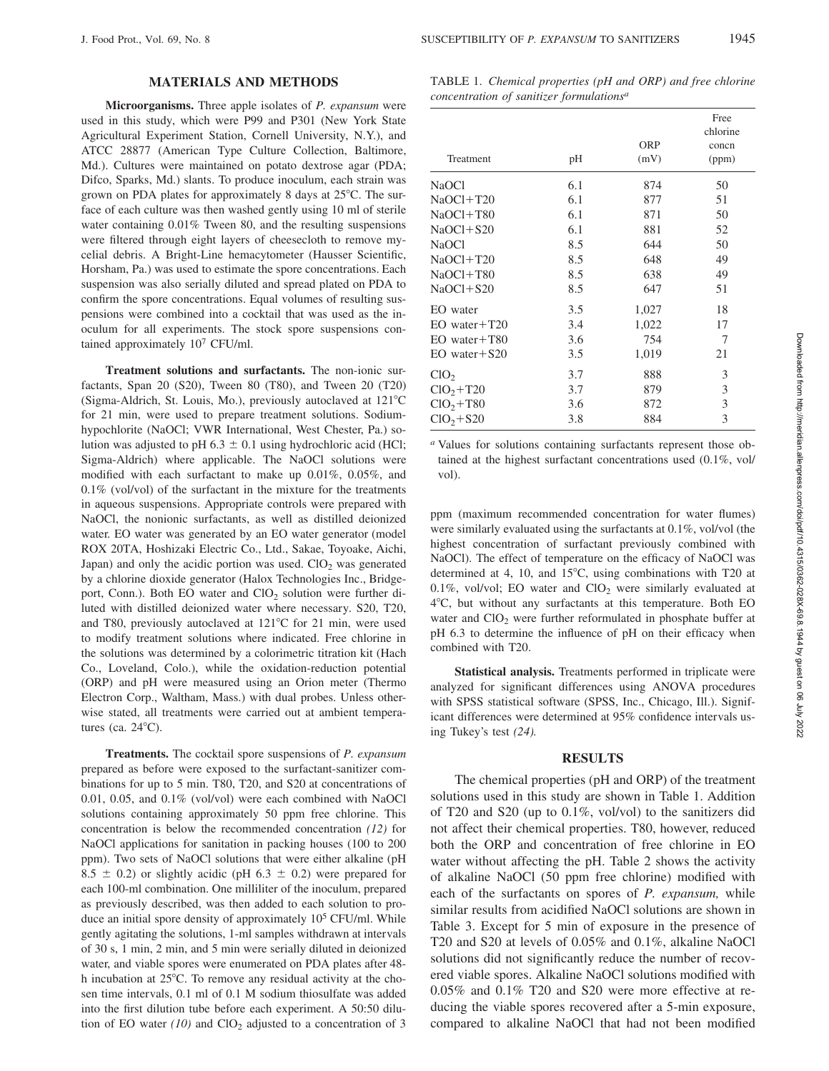## **MATERIALS AND METHODS**

**Microorganisms.** Three apple isolates of *P. expansum* were used in this study, which were P99 and P301 (New York State Agricultural Experiment Station, Cornell University, N.Y.), and ATCC 28877 (American Type Culture Collection, Baltimore, Md.). Cultures were maintained on potato dextrose agar (PDA; Difco, Sparks, Md.) slants. To produce inoculum, each strain was grown on PDA plates for approximately 8 days at 25°C. The surface of each culture was then washed gently using 10 ml of sterile water containing  $0.01\%$  Tween 80, and the resulting suspensions were filtered through eight layers of cheesecloth to remove mycelial debris. A Bright-Line hemacytometer (Hausser Scientific, Horsham, Pa.) was used to estimate the spore concentrations. Each suspension was also serially diluted and spread plated on PDA to confirm the spore concentrations. Equal volumes of resulting suspensions were combined into a cocktail that was used as the inoculum for all experiments. The stock spore suspensions contained approximately 107 CFU/ml.

**Treatment solutions and surfactants.** The non-ionic surfactants, Span 20 (S20), Tween 80 (T80), and Tween 20 (T20) (Sigma-Aldrich, St. Louis, Mo.), previously autoclaved at 121°C for 21 min, were used to prepare treatment solutions. Sodiumhypochlorite (NaOCl; VWR International, West Chester, Pa.) solution was adjusted to pH 6.3  $\pm$  0.1 using hydrochloric acid (HCl; Sigma-Aldrich) where applicable. The NaOCl solutions were modified with each surfactant to make up 0.01%, 0.05%, and 0.1% (vol/vol) of the surfactant in the mixture for the treatments in aqueous suspensions. Appropriate controls were prepared with NaOCl, the nonionic surfactants, as well as distilled deionized water. EO water was generated by an EO water generator (model ROX 20TA, Hoshizaki Electric Co., Ltd., Sakae, Toyoake, Aichi, Japan) and only the acidic portion was used.  $ClO<sub>2</sub>$  was generated by a chlorine dioxide generator (Halox Technologies Inc., Bridgeport, Conn.). Both EO water and  $ClO<sub>2</sub>$  solution were further diluted with distilled deionized water where necessary. S20, T20, and T80, previously autoclaved at  $121^{\circ}$ C for 21 min, were used to modify treatment solutions where indicated. Free chlorine in the solutions was determined by a colorimetric titration kit (Hach Co., Loveland, Colo.), while the oxidation-reduction potential (ORP) and pH were measured using an Orion meter (Thermo Electron Corp., Waltham, Mass.) with dual probes. Unless otherwise stated, all treatments were carried out at ambient temperatures (ca.  $24^{\circ}$ C).

**Treatments.** The cocktail spore suspensions of *P. expansum* prepared as before were exposed to the surfactant-sanitizer combinations for up to 5 min. T80, T20, and S20 at concentrations of 0.01, 0.05, and 0.1% (vol/vol) were each combined with NaOCl solutions containing approximately 50 ppm free chlorine. This concentration is below the recommended concentration *(12)* for NaOCl applications for sanitation in packing houses (100 to 200 ppm). Two sets of NaOCl solutions that were either alkaline (pH 8.5  $\pm$  0.2) or slightly acidic (pH 6.3  $\pm$  0.2) were prepared for each 100-ml combination. One milliliter of the inoculum, prepared as previously described, was then added to each solution to produce an initial spore density of approximately 105 CFU/ml. While gently agitating the solutions, 1-ml samples withdrawn at intervals of 30 s, 1 min, 2 min, and 5 min were serially diluted in deionized water, and viable spores were enumerated on PDA plates after 48 h incubation at 25°C. To remove any residual activity at the chosen time intervals, 0.1 ml of 0.1 M sodium thiosulfate was added into the first dilution tube before each experiment. A 50:50 dilution of EO water  $(10)$  and ClO<sub>2</sub> adjusted to a concentration of 3

TABLE 1. *Chemical properties (pH and ORP) and free chlorine concentration of sanitizer formulationsa*

| Treatment          | pH  | <b>ORP</b><br>(mV) | Free<br>chlorine<br>concn<br>(ppm) |
|--------------------|-----|--------------------|------------------------------------|
| NaOCl              | 6.1 | 874                | 50                                 |
| $NaOCl+T20$        | 6.1 | 877                | 51                                 |
| $NaOC1+T80$        | 6.1 | 871                | 50                                 |
| $NaOC1+S20$        | 6.1 | 881                | 52                                 |
| <b>NaOCI</b>       | 8.5 | 644                | 50                                 |
| $NaOCl+T20$        | 8.5 | 648                | 49                                 |
| $NaOC1+T80$        | 8.5 | 638                | 49                                 |
| $NaOC1+S20$        | 8.5 | 647                | 51                                 |
| EO water           | 3.5 | 1,027              | 18                                 |
| $EO$ water $+T20$  | 3.4 | 1,022              | 17                                 |
| $EO$ water $+T80$  | 3.6 | 754                | 7                                  |
| $EO$ water + $S20$ | 3.5 | 1,019              | 21                                 |
| ClO <sub>2</sub>   | 3.7 | 888                | 3                                  |
| $ClO2+T20$         | 3.7 | 879                | 3                                  |
| $ClO2+T80$         | 3.6 | 872                | 3                                  |
| $ClO2+S20$         | 3.8 | 884                | 3                                  |

*<sup>a</sup>* Values for solutions containing surfactants represent those obtained at the highest surfactant concentrations used (0.1%, vol/ vol).

ppm (maximum recommended concentration for water flumes) were similarly evaluated using the surfactants at 0.1%, vol/vol (the highest concentration of surfactant previously combined with NaOCl). The effect of temperature on the efficacy of NaOCl was determined at 4, 10, and  $15^{\circ}$ C, using combinations with T20 at 0.1%, vol/vol; EO water and  $ClO<sub>2</sub>$  were similarly evaluated at 4-C, but without any surfactants at this temperature. Both EO water and  $ClO<sub>2</sub>$  were further reformulated in phosphate buffer at pH 6.3 to determine the influence of pH on their efficacy when combined with T20.

**Statistical analysis.** Treatments performed in triplicate were analyzed for significant differences using ANOVA procedures with SPSS statistical software (SPSS, Inc., Chicago, Ill.). Significant differences were determined at 95% confidence intervals using Tukey's test *(24).*

#### **RESULTS**

The chemical properties (pH and ORP) of the treatment solutions used in this study are shown in Table 1. Addition of T20 and S20 (up to 0.1%, vol/vol) to the sanitizers did not affect their chemical properties. T80, however, reduced both the ORP and concentration of free chlorine in EO water without affecting the pH. Table 2 shows the activity of alkaline NaOCl (50 ppm free chlorine) modified with each of the surfactants on spores of *P. expansum,* while similar results from acidified NaOCl solutions are shown in Table 3. Except for 5 min of exposure in the presence of T20 and S20 at levels of 0.05% and 0.1%, alkaline NaOCl solutions did not significantly reduce the number of recovered viable spores. Alkaline NaOCl solutions modified with 0.05% and 0.1% T20 and S20 were more effective at reducing the viable spores recovered after a 5-min exposure, compared to alkaline NaOCl that had not been modified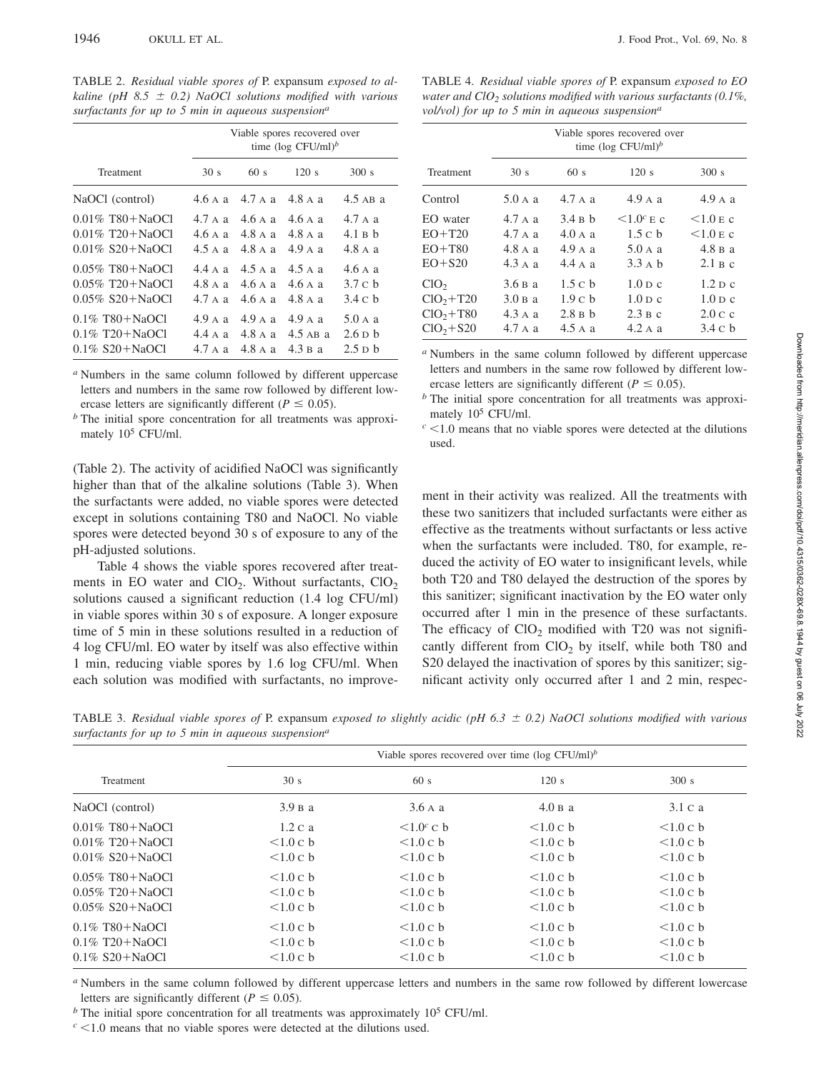TABLE 2. *Residual viable spores of* P. expansum *exposed to alkaline (pH 8.5*  $\pm$  *0.2) NaOCl solutions modified with various surfactants for up to 5 min in aqueous suspensiona*

|                    | Viable spores recovered over<br>time (log CFU/ml) <sup>b</sup> |           |            |                     |  |  |  |  |
|--------------------|----------------------------------------------------------------|-----------|------------|---------------------|--|--|--|--|
| Treatment          | 30 <sub>s</sub>                                                | 60s       | 120 s      | 300 s               |  |  |  |  |
| NaOCl (control)    | 4.6A                                                           | 4.7 да    | 4.8 да     | $4.5$ AB a          |  |  |  |  |
| $0.01\%$ T80+NaOCl | 4.7 A a                                                        | 4.6A      | 4.6A       | 4.7 A a             |  |  |  |  |
| $0.01\%$ T20+NaOCl | 4.6Aa                                                          | 4.8 A a   | 4.8A       | 4.1 B b             |  |  |  |  |
| $0.01\%$ S20+NaOCl | 4.5 да                                                         | 4.8 A a   | 4.9 A a    | 4.8 A a             |  |  |  |  |
| $0.05\%$ T80+NaOCl | 4.4 A a                                                        | $4.5$ A a | $4.5$ A a  | 4.6A                |  |  |  |  |
| $0.05\%$ T20+NaOCl | 4.8A                                                           | 4.6A      | 4.6Aa      | 3.7 c b             |  |  |  |  |
| $0.05\%$ S20+NaOCl | 4.7 да                                                         | 4.6A      | 4.8 A a    | 3.4 c h             |  |  |  |  |
| $0.1\%$ T80+NaOCl  | 4.9 A a                                                        | $4.9$ A a | $4.9$ A a  | $5.0 \text{ A}$ a   |  |  |  |  |
| $0.1\%$ T20+NaOCl  | 4.4 A a                                                        | 4.8 A a   | $4.5$ AB a | $2.6\,\mathrm{D}$ b |  |  |  |  |
| $0.1\%$ S20+NaOCl  | 4.7 да                                                         | 4.8 A a   | 4.3 в а    | $2.5$ D $b$         |  |  |  |  |

*<sup>a</sup>* Numbers in the same column followed by different uppercase letters and numbers in the same row followed by different lowercase letters are significantly different ( $P \le 0.05$ ).

*<sup>b</sup>* The initial spore concentration for all treatments was approximately 105 CFU/ml.

(Table 2). The activity of acidified NaOCl was significantly higher than that of the alkaline solutions (Table 3). When the surfactants were added, no viable spores were detected except in solutions containing T80 and NaOCl. No viable spores were detected beyond 30 s of exposure to any of the pH-adjusted solutions.

Table 4 shows the viable spores recovered after treatments in EO water and  $ClO<sub>2</sub>$ . Without surfactants,  $ClO<sub>2</sub>$ solutions caused a significant reduction (1.4 log CFU/ml) in viable spores within 30 s of exposure. A longer exposure time of 5 min in these solutions resulted in a reduction of 4 log CFU/ml. EO water by itself was also effective within 1 min, reducing viable spores by 1.6 log CFU/ml. When each solution was modified with surfactants, no improve-

TABLE 4. *Residual viable spores of* P. expansum *exposed to EO water and ClO<sub>2</sub> solutions modified with various surfactants (0.1%, vol/vol) for up to 5 min in aqueous suspension<sup>a</sup>*

|                  | Viable spores recovered over<br>time (log CFU/ml) <sup>b</sup> |                   |                                  |                                  |  |  |  |  |
|------------------|----------------------------------------------------------------|-------------------|----------------------------------|----------------------------------|--|--|--|--|
| Treatment        | 30 <sub>s</sub>                                                | 60s               | 120 s                            | 300 s                            |  |  |  |  |
| Control          | 5.0 A a                                                        | 4.7 A a           | 4.9 A a                          | 4.9 A a                          |  |  |  |  |
| EO water         | 4.7 да                                                         | 3.4 B h           | $\leq 1.0$ <sup>c</sup> E c      | $<1.0$ E c                       |  |  |  |  |
| $EO+T20$         | 4.7 A a                                                        | 4.0 A a           | 1.5c <sub>b</sub>                | $<1.0$ E c                       |  |  |  |  |
| $EO+T80$         | 4.8 да                                                         | 4.9 A a           | 5.0 A a                          | 4.8 B a                          |  |  |  |  |
| $EO + S20$       | $4.3 \text{ A}$ a                                              | 4.4 A a           | $3.3 \text{ A} \text{ h}$        | 2.1 B c                          |  |  |  |  |
| ClO <sub>2</sub> | 3.6Ba                                                          | 1.5c <sub>b</sub> | $1.0 \,\mathrm{D} \, \mathrm{c}$ | $1.2$ D c                        |  |  |  |  |
| $ClO2+T20$       | 3.0 <sub>B</sub> a                                             | 1.9c <sub>b</sub> | $1.0D$ c                         | $1.0 \,\mathrm{D} \, \mathrm{c}$ |  |  |  |  |
| $ClO2+T80$       | 4.3 A a                                                        | 2.8Bh             | 2.3 B c                          | 2.0 c c                          |  |  |  |  |
| $ClO2+S20$       | 4.7 A a                                                        | $4.5 \text{ A a}$ | 4.2 A a                          | 3.4 c h                          |  |  |  |  |

*<sup>a</sup>* Numbers in the same column followed by different uppercase letters and numbers in the same row followed by different lowercase letters are significantly different ( $P \le 0.05$ ).

*<sup>b</sup>* The initial spore concentration for all treatments was approximately 105 CFU/ml.

 $c$  <1.0 means that no viable spores were detected at the dilutions used.

ment in their activity was realized. All the treatments with these two sanitizers that included surfactants were either as effective as the treatments without surfactants or less active when the surfactants were included. T80, for example, reduced the activity of EO water to insignificant levels, while both T20 and T80 delayed the destruction of the spores by this sanitizer; significant inactivation by the EO water only occurred after 1 min in the presence of these surfactants. The efficacy of  $ClO<sub>2</sub>$  modified with T20 was not significantly different from  $CIO<sub>2</sub>$  by itself, while both T80 and S20 delayed the inactivation of spores by this sanitizer; significant activity only occurred after 1 and 2 min, respec-

TABLE 3. *Residual viable spores of* P. expansum *exposed to slightly acidic (pH 6.3 0.2) NaOCl solutions modified with various surfactants for up to 5 min in aqueous suspensiona*

|                                              | Viable spores recovered over time ( $log CFU/ml$ ) <sup>b</sup> |                             |          |          |  |  |  |  |  |
|----------------------------------------------|-----------------------------------------------------------------|-----------------------------|----------|----------|--|--|--|--|--|
| Treatment                                    | 30 s                                                            | 60s                         | 120 s    | 300 s    |  |  |  |  |  |
| NaOCl (control)                              | 3.9 B a                                                         | 3.6Aa                       | 4.0 B a  | 3.1 c a  |  |  |  |  |  |
| $0.01\%$ T80+NaOCl                           | 1.2 c a                                                         | $\leq 1.0$ <sup>c</sup> C b | <1.0 c b | <1.0 c b |  |  |  |  |  |
| $0.01\%$ T <sub>20</sub> +N <sub>a</sub> OCl | <1.0 c b                                                        | <1.0 c b                    | <1.0 c b | <1.0 c b |  |  |  |  |  |
| $0.01\%$ S20+NaOCl                           | <1.0 c b                                                        | <1.0 c b                    | <1.0 c b | <1.0 c b |  |  |  |  |  |
| $0.05\%$ T80+NaOCl                           | <1.0 c b                                                        | <1.0 c b                    | <1.0 c b | <1.0 c b |  |  |  |  |  |
| $0.05\%$ T <sub>20</sub> +N <sub>a</sub> OCl | <1.0 c b                                                        | < 1.0 c b                   | <1.0 c b | <1.0 c b |  |  |  |  |  |
| $0.05\%$ S20+NaOCl                           | <1.0 c b                                                        | <1.0 c b                    | <1.0 c b | <1.0 c b |  |  |  |  |  |
| $0.1\%$ T80+NaOCl                            | <1.0 c b                                                        | <1.0 c b                    | <1.0 c b | <1.0 c b |  |  |  |  |  |
| $0.1\%$ T <sub>20</sub> +N <sub>a</sub> OCl  | <1.0 c b                                                        | <1.0 c b                    | <1.0 c b | <1.0 c b |  |  |  |  |  |
| $0.1\%$ S20+NaOCl                            | <1.0 c b                                                        | <1.0 c b                    | <1.0 c b | <1.0 c b |  |  |  |  |  |

*<sup>a</sup>* Numbers in the same column followed by different uppercase letters and numbers in the same row followed by different lowercase letters are significantly different ( $P \le 0.05$ ).

*b* The initial spore concentration for all treatments was approximately 10<sup>5</sup> CFU/ml.

 $c$  <1.0 means that no viable spores were detected at the dilutions used.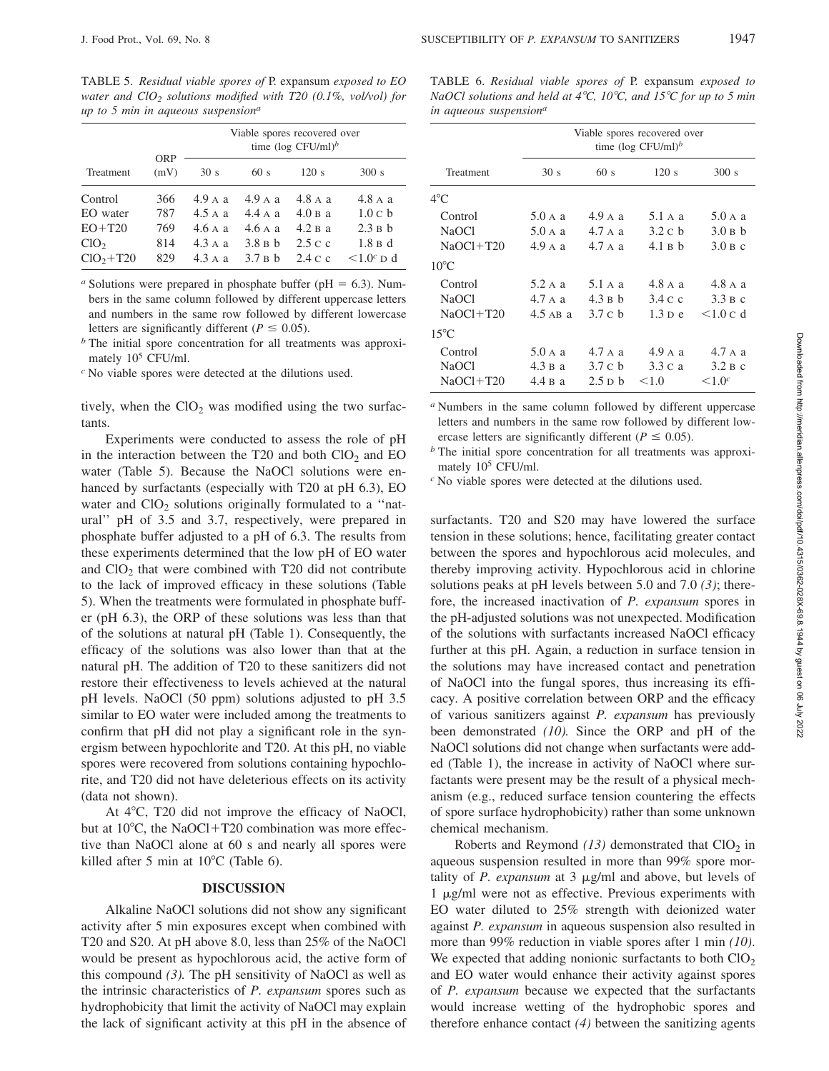*up to 5 min in aqueous suspensiona*

TABLE 5. *Residual viable spores of* P. expansum *exposed to EO water and ClO2 solutions modified with T20 (0.1%, vol/vol) for*

|                  |                    |                   |         | Viable spores recovered over<br>time (log CFU/ml) <sup>b</sup> |                  |
|------------------|--------------------|-------------------|---------|----------------------------------------------------------------|------------------|
| Treatment        | <b>ORP</b><br>(mV) | 30 <sub>s</sub>   | 60s     | 120s                                                           | 300 s            |
| Control          | 366                | 4.9 A a           | 4.9 A a | 4.8 A a                                                        | 4.8 A a          |
| EO water         | 787                | $4.5 \text{ A a}$ | 4.4 A a | 4.0 B a                                                        | 1.0 c b          |
| $EO+T20$         | 769                | 4.6Aa             | 4.6Aa   | 4.2 B a                                                        | 2.3Bh            |
| ClO <sub>2</sub> | 814                | $4.3 \text{ A a}$ | 3.8 B h | 2.5 c c                                                        | $1.8B$ d         |
| $ClO2+T20$       | 829                | 4.3 A a           | 3.7B    | 2.4 c c                                                        | $\leq 1.0^c$ D d |

*a* Solutions were prepared in phosphate buffer ( $pH = 6.3$ ). Numbers in the same column followed by different uppercase letters and numbers in the same row followed by different lowercase letters are significantly different ( $P \le 0.05$ ).

*<sup>b</sup>* The initial spore concentration for all treatments was approximately  $10^5$  CFU/ml.

*<sup>c</sup>* No viable spores were detected at the dilutions used.

tively, when the  $ClO<sub>2</sub>$  was modified using the two surfactants.

Experiments were conducted to assess the role of pH in the interaction between the T20 and both  $ClO<sub>2</sub>$  and EO water (Table 5). Because the NaOCl solutions were enhanced by surfactants (especially with T20 at pH 6.3), EO water and  $ClO<sub>2</sub>$  solutions originally formulated to a "natural'' pH of 3.5 and 3.7, respectively, were prepared in phosphate buffer adjusted to a pH of 6.3. The results from these experiments determined that the low pH of EO water and  $ClO<sub>2</sub>$  that were combined with T20 did not contribute to the lack of improved efficacy in these solutions (Table 5). When the treatments were formulated in phosphate buffer (pH 6.3), the ORP of these solutions was less than that of the solutions at natural pH (Table 1). Consequently, the efficacy of the solutions was also lower than that at the natural pH. The addition of T20 to these sanitizers did not restore their effectiveness to levels achieved at the natural pH levels. NaOCl (50 ppm) solutions adjusted to pH 3.5 similar to EO water were included among the treatments to confirm that pH did not play a significant role in the synergism between hypochlorite and T20. At this pH, no viable spores were recovered from solutions containing hypochlorite, and T20 did not have deleterious effects on its activity (data not shown).

At 4°C, T20 did not improve the efficacy of NaOCl, but at  $10^{\circ}$ C, the NaOCl+T20 combination was more effective than NaOCl alone at 60 s and nearly all spores were killed after 5 min at  $10^{\circ}$ C (Table 6).

#### **DISCUSSION**

Alkaline NaOCl solutions did not show any significant activity after 5 min exposures except when combined with T20 and S20. At pH above 8.0, less than 25% of the NaOCl would be present as hypochlorous acid, the active form of this compound  $(3)$ . The pH sensitivity of NaOCl as well as the intrinsic characteristics of *P. expansum* spores such as hydrophobicity that limit the activity of NaOCl may explain the lack of significant activity at this pH in the absence of

|  |  |                                    | TABLE 6. Residual viable spores of P. expansum exposed to       |  |  |  |  |  |  |
|--|--|------------------------------------|-----------------------------------------------------------------|--|--|--|--|--|--|
|  |  |                                    | NaOCl solutions and held at 4°C, 10°C, and 15°C for up to 5 min |  |  |  |  |  |  |
|  |  | in aqueous suspension <sup>a</sup> |                                                                 |  |  |  |  |  |  |

|                | Viable spores recovered over<br>time (log CFU/ml) <sup>b</sup> |                   |                   |                   |  |  |  |  |  |
|----------------|----------------------------------------------------------------|-------------------|-------------------|-------------------|--|--|--|--|--|
| Treatment      | 30 s                                                           | 60s               | 120s              | 300 s             |  |  |  |  |  |
| $4^{\circ}$ C  |                                                                |                   |                   |                   |  |  |  |  |  |
| Control        | $5.0 \text{ A}$ a                                              | 4.9 A a           | $5.1 \text{ A}$ a | $5.0 \text{ A}$ a |  |  |  |  |  |
| <b>NaOCI</b>   | 5.0 A a                                                        | 4.7 A a           | 3.2 c h           | 3.0 B h           |  |  |  |  |  |
| $NaOCl+T20$    | 4.9 A a                                                        | 4.7 A a           | 4.1Bh             | 3.0 B c           |  |  |  |  |  |
| $10^{\circ}$ C |                                                                |                   |                   |                   |  |  |  |  |  |
| Control        | $5.2$ A a                                                      | $5.1 \text{ A}$ a | 4.8 A a           | 4.8 A a           |  |  |  |  |  |
| <b>NaOCI</b>   | 4.7 A a                                                        | 4.3 B h           | 3.4 C c           | 3.3 B c           |  |  |  |  |  |
| $NaOCl+T20$    | $4.5$ AB a                                                     | 3.7 c h           | $1.3$ D e         | <1.0 c d          |  |  |  |  |  |
| $15^{\circ}$ C |                                                                |                   |                   |                   |  |  |  |  |  |
| Control        | 5.0 A a                                                        | 4.7 A a           | 4.9 A a           | 4.7 A a           |  |  |  |  |  |
| <b>NaOCI</b>   | 4.3 B a                                                        | 3.7 c h           | 3.3 C a           | 3.2 B c           |  |  |  |  |  |
| $NaOCl+T20$    | 4.4 B a                                                        | 2.5 D b           | < 1.0             | $\leq 1.0^c$      |  |  |  |  |  |

*<sup>a</sup>* Numbers in the same column followed by different uppercase letters and numbers in the same row followed by different lowercase letters are significantly different ( $P \le 0.05$ ).

*<sup>b</sup>* The initial spore concentration for all treatments was approximately 105 CFU/ml.

*<sup>c</sup>* No viable spores were detected at the dilutions used.

surfactants. T20 and S20 may have lowered the surface tension in these solutions; hence, facilitating greater contact between the spores and hypochlorous acid molecules, and thereby improving activity. Hypochlorous acid in chlorine solutions peaks at pH levels between 5.0 and 7.0 *(3)*; therefore, the increased inactivation of *P. expansum* spores in the pH-adjusted solutions was not unexpected. Modification of the solutions with surfactants increased NaOCl efficacy further at this pH. Again, a reduction in surface tension in the solutions may have increased contact and penetration of NaOCl into the fungal spores, thus increasing its efficacy. A positive correlation between ORP and the efficacy of various sanitizers against *P. expansum* has previously been demonstrated *(10).* Since the ORP and pH of the NaOCl solutions did not change when surfactants were added (Table 1), the increase in activity of NaOCl where surfactants were present may be the result of a physical mechanism (e.g., reduced surface tension countering the effects of spore surface hydrophobicity) rather than some unknown chemical mechanism.

Roberts and Reymond  $(13)$  demonstrated that  $ClO<sub>2</sub>$  in aqueous suspension resulted in more than 99% spore mortality of *P. expansum* at  $3 \mu g/ml$  and above, but levels of  $1 \mu$ g/ml were not as effective. Previous experiments with EO water diluted to 25% strength with deionized water against *P. expansum* in aqueous suspension also resulted in more than 99% reduction in viable spores after 1 min *(10)*. We expected that adding nonionic surfactants to both  $CIO<sub>2</sub>$ and EO water would enhance their activity against spores of *P. expansum* because we expected that the surfactants would increase wetting of the hydrophobic spores and therefore enhance contact *(4)* between the sanitizing agents